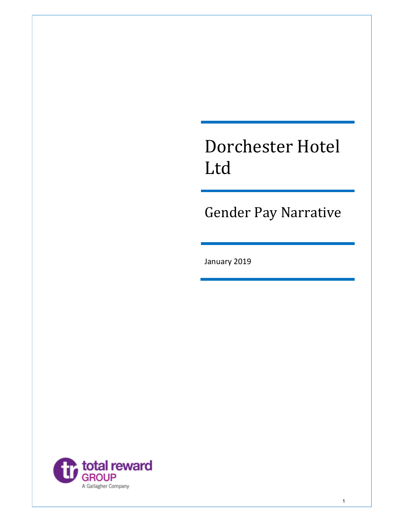# Dorchester Hotel Ltd

Gender Pay Narrative

1

January 2019

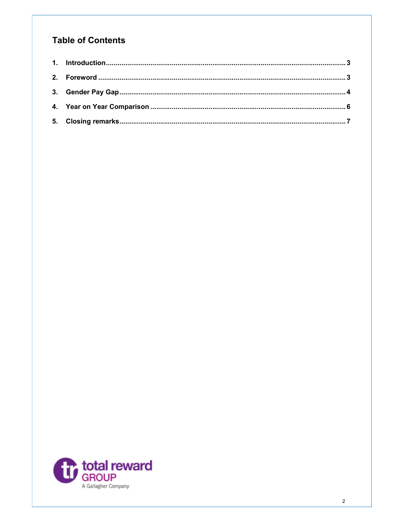## **Table of Contents**

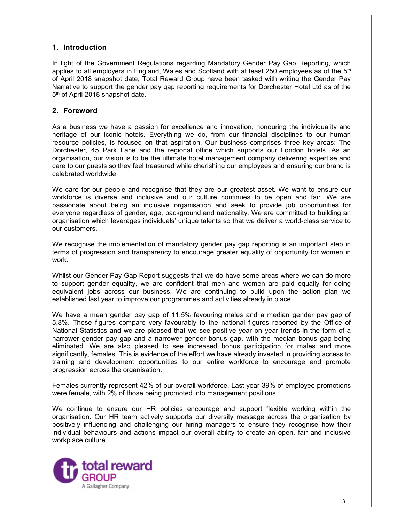### 1. Introduction

In light of the Government Regulations regarding Mandatory Gender Pay Gap Reporting, which applies to all employers in England, Wales and Scotland with at least 250 employees as of the  $5<sup>th</sup>$ of April 2018 snapshot date, Total Reward Group have been tasked with writing the Gender Pay Narrative to support the gender pay gap reporting requirements for Dorchester Hotel Ltd as of the 5<sup>th</sup> of April 2018 snapshot date.

### 2. Foreword

As a business we have a passion for excellence and innovation, honouring the individuality and heritage of our iconic hotels. Everything we do, from our financial disciplines to our human resource policies, is focused on that aspiration. Our business comprises three key areas: The Dorchester, 45 Park Lane and the regional office which supports our London hotels. As an organisation, our vision is to be the ultimate hotel management company delivering expertise and care to our guests so they feel treasured while cherishing our employees and ensuring our brand is celebrated worldwide.

We care for our people and recognise that they are our greatest asset. We want to ensure our workforce is diverse and inclusive and our culture continues to be open and fair. We are passionate about being an inclusive organisation and seek to provide job opportunities for everyone regardless of gender, age, background and nationality. We are committed to building an organisation which leverages individuals' unique talents so that we deliver a world-class service to our customers.

We recognise the implementation of mandatory gender pay gap reporting is an important step in terms of progression and transparency to encourage greater equality of opportunity for women in work.

Whilst our Gender Pay Gap Report suggests that we do have some areas where we can do more to support gender equality, we are confident that men and women are paid equally for doing equivalent jobs across our business. We are continuing to build upon the action plan we established last year to improve our programmes and activities already in place.

We have a mean gender pay gap of 11.5% favouring males and a median gender pay gap of 5.8%. These figures compare very favourably to the national figures reported by the Office of National Statistics and we are pleased that we see positive year on year trends in the form of a narrower gender pay gap and a narrower gender bonus gap, with the median bonus gap being eliminated. We are also pleased to see increased bonus participation for males and more significantly, females. This is evidence of the effort we have already invested in providing access to training and development opportunities to our entire workforce to encourage and promote progression across the organisation.

Females currently represent 42% of our overall workforce. Last year 39% of employee promotions were female, with 2% of those being promoted into management positions.

We continue to ensure our HR policies encourage and support flexible working within the organisation. Our HR team actively supports our diversity message across the organisation by positively influencing and challenging our hiring managers to ensure they recognise how their individual behaviours and actions impact our overall ability to create an open, fair and inclusive workplace culture.

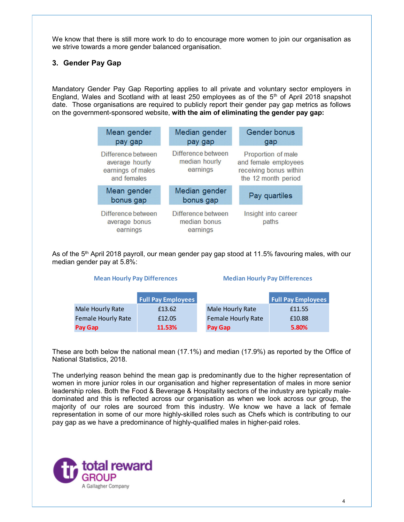We know that there is still more work to do to encourage more women to join our organisation as we strive towards a more gender balanced organisation.

#### 3. Gender Pay Gap

Mandatory Gender Pay Gap Reporting applies to all private and voluntary sector employers in England, Wales and Scotland with at least 250 employees as of the  $5<sup>th</sup>$  of April 2018 snapshot date. Those organisations are required to publicly report their gender pay gap metrics as follows on the government-sponsored website, with the aim of eliminating the gender pay gap:

| Mean gender<br>pay gap                                                                                 |        |                                                 | Median gender<br>pay gap   |                                      | Gender bonus<br>gap                                                                         |
|--------------------------------------------------------------------------------------------------------|--------|-------------------------------------------------|----------------------------|--------------------------------------|---------------------------------------------------------------------------------------------|
| Difference between<br>average hourly<br>earnings of males<br>and females                               |        | Difference between<br>median hourly<br>earnings |                            |                                      | Proportion of male<br>and female employees<br>receiving bonus within<br>the 12 month period |
| Mean gender<br>bonus gap                                                                               |        |                                                 | Median gender<br>bonus gap |                                      | Pay quartiles                                                                               |
| Difference between<br>average bonus<br>earnings                                                        |        | Difference between<br>earnings                  | median bonus               |                                      | Insight into career<br>paths                                                                |
| e 5 <sup>th</sup> April 2018 payroll, our mean gender pay gap stood at 11.5% favouring males, with our |        |                                                 |                            |                                      |                                                                                             |
| gender pay at 5.8%:<br><b>Mean Hourly Pay Differences</b>                                              |        |                                                 |                            | <b>Median Hourly Pay Differences</b> |                                                                                             |
|                                                                                                        |        | <b>Full Pay Employees</b>                       |                            |                                      | <b>Full Pay Employees</b>                                                                   |
| Male Hourly Rate                                                                                       | £13.62 |                                                 | Male Hourly Rate           |                                      | £11.55                                                                                      |
| <b>Female Hourly Rate</b>                                                                              | £12.05 |                                                 |                            | <b>Female Hourly Rate</b>            | £10.88                                                                                      |

As of the 5<sup>th</sup> April 2018 payroll, our mean gender pay gap stood at 11.5% favouring males, with our median gender pay at 5.8%:

|                           | <b>Full Pay Employees</b> |                           | <b>Full Pay Employees</b> |
|---------------------------|---------------------------|---------------------------|---------------------------|
| Male Hourly Rate          | £13.62                    | Male Hourly Rate          | £11.55                    |
| <b>Female Hourly Rate</b> | £12.05                    | <b>Female Hourly Rate</b> | £10.88                    |
| Pay Gap                   | 11.53%                    | Pay Gap                   | 5.80%                     |

These are both below the national mean (17.1%) and median (17.9%) as reported by the Office of National Statistics, 2018.

The underlying reason behind the mean gap is predominantly due to the higher representation of women in more junior roles in our organisation and higher representation of males in more senior leadership roles. Both the Food & Beverage & Hospitality sectors of the industry are typically maledominated and this is reflected across our organisation as when we look across our group, the majority of our roles are sourced from this industry. We know we have a lack of female representation in some of our more highly-skilled roles such as Chefs which is contributing to our pay gap as we have a predominance of highly-qualified males in higher-paid roles.

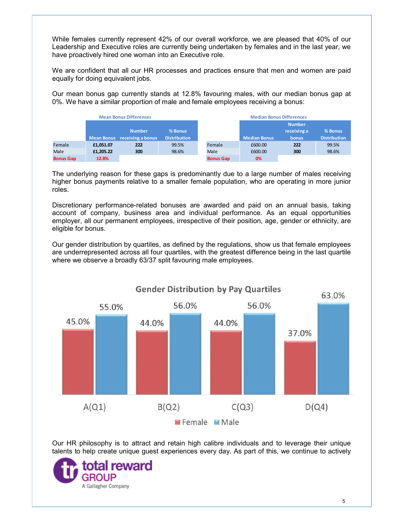|                |                                    | have proactively hired one woman into an Executive role. |                                |                | While females currently represent 42% of our overall workforce, we are pleased that 40% of our<br>Leadership and Executive roles are currently being undertaken by females and in the last year, we |                                       |                                                                                             |
|----------------|------------------------------------|----------------------------------------------------------|--------------------------------|----------------|-----------------------------------------------------------------------------------------------------------------------------------------------------------------------------------------------------|---------------------------------------|---------------------------------------------------------------------------------------------|
|                |                                    |                                                          |                                |                |                                                                                                                                                                                                     |                                       |                                                                                             |
|                |                                    |                                                          |                                |                |                                                                                                                                                                                                     |                                       | We are confident that all our HR processes and practices ensure that men and women are paid |
|                |                                    |                                                          |                                |                |                                                                                                                                                                                                     |                                       |                                                                                             |
|                | equally for doing equivalent jobs. |                                                          |                                |                |                                                                                                                                                                                                     |                                       |                                                                                             |
|                |                                    |                                                          |                                |                | Our mean bonus gap currently stands at 12.8% favouring males, with our median bonus gap at<br>0%. We have a similar proportion of male and female employees receiving a bonus:                      |                                       |                                                                                             |
|                |                                    | <b>Mean Bonus Differences</b>                            |                                |                | <b>Median Bonus Differences</b>                                                                                                                                                                     |                                       |                                                                                             |
|                |                                    | <b>Number</b>                                            | % Bonus<br><b>Distribution</b> |                | <b>Median Bonus</b>                                                                                                                                                                                 | <b>Number</b><br>receiving a<br>bonus | % Bonus<br><b>Distribution</b>                                                              |
| Female<br>Male | £1,051.07<br>£1,205.22             | Mean Bonus receiving a bonus<br>222<br>300               | 99.5%<br>98.6%                 | Female<br>Male | £600.00<br>£600.00                                                                                                                                                                                  | 222<br>300                            | 99.5%<br>98.6%                                                                              |

Discretionary performance-related bonuses are awarded and paid on an annual basis, taking account of company, business area and individual performance. As an equal opportunities employer, all our permanent employees, irrespective of their position, age, gender or ethnicity, are eligible for bonus.

Our gender distribution by quartiles, as defined by the regulations, show us that female employees are underrepresented across all four quartiles, with the greatest difference being in the last quartile where we observe a broadly 63/37 split favouring male employees.



Our HR philosophy is to attract and retain high calibre individuals and to leverage their unique talents to help create unique guest experiences every day. As part of this, we continue to actively

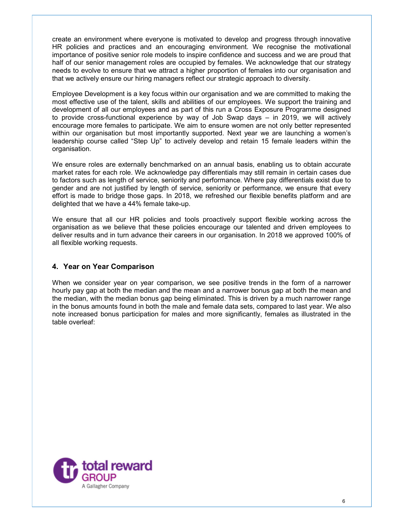create an environment where everyone is motivated to develop and progress through innovative HR policies and practices and an encouraging environment. We recognise the motivational importance of positive senior role models to inspire confidence and success and we are proud that half of our senior management roles are occupied by females. We acknowledge that our strategy needs to evolve to ensure that we attract a higher proportion of females into our organisation and that we actively ensure our hiring managers reflect our strategic approach to diversity.

Employee Development is a key focus within our organisation and we are committed to making the most effective use of the talent, skills and abilities of our employees. We support the training and development of all our employees and as part of this run a Cross Exposure Programme designed to provide cross-functional experience by way of Job Swap days – in 2019, we will actively encourage more females to participate. We aim to ensure women are not only better represented within our organisation but most importantly supported. Next year we are launching a women's leadership course called "Step Up" to actively develop and retain 15 female leaders within the organisation.

We ensure roles are externally benchmarked on an annual basis, enabling us to obtain accurate market rates for each role. We acknowledge pay differentials may still remain in certain cases due to factors such as length of service, seniority and performance. Where pay differentials exist due to gender and are not justified by length of service, seniority or performance, we ensure that every effort is made to bridge those gaps. In 2018, we refreshed our flexible benefits platform and are delighted that we have a 44% female take-up.

We ensure that all our HR policies and tools proactively support flexible working across the organisation as we believe that these policies encourage our talented and driven employees to deliver results and in turn advance their careers in our organisation. In 2018 we approved 100% of all flexible working requests.

### 4. Year on Year Comparison

When we consider year on year comparison, we see positive trends in the form of a narrower hourly pay gap at both the median and the mean and a narrower bonus gap at both the mean and the median, with the median bonus gap being eliminated. This is driven by a much narrower range in the bonus amounts found in both the male and female data sets, compared to last year. We also note increased bonus participation for males and more significantly, females as illustrated in the table overleaf: